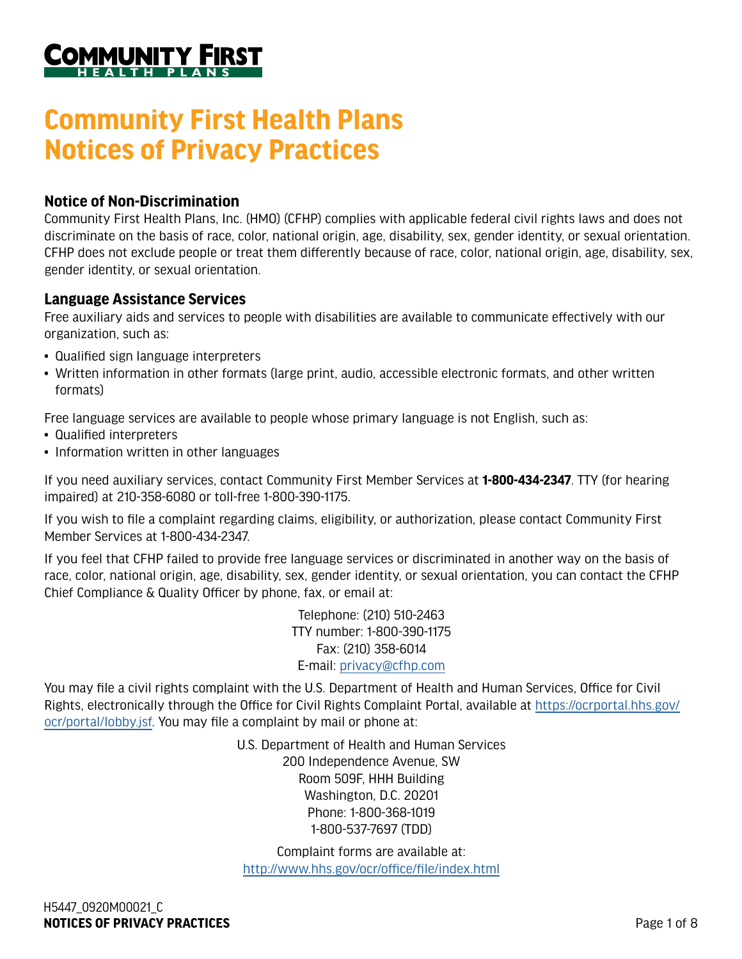# COMMUNITY FIRST

## **Community First Health Plans Notices of Privacy Practices**

## **Notice of Non-Discrimination**

Community First Health Plans, Inc. (HMO) (CFHP) complies with applicable federal civil rights laws and does not discriminate on the basis of race, color, national origin, age, disability, sex, gender identity, or sexual orientation. CFHP does not exclude people or treat them differently because of race, color, national origin, age, disability, sex, gender identity, or sexual orientation.

## **Language Assistance Services**

Free auxiliary aids and services to people with disabilities are available to communicate effectively with our organization, such as:

- Qualified sign language interpreters
- Written information in other formats (large print, audio, accessible electronic formats, and other written formats)

Free language services are available to people whose primary language is not English, such as:

- Qualified interpreters
- Information written in other languages

If you need auxiliary services, contact Community First Member Services at **1-800-434-2347**. TTY (for hearing impaired) at 210-358-6080 or toll-free 1-800-390-1175.

If you wish to file a complaint regarding claims, eligibility, or authorization, please contact Community First Member Services at 1-800-434-2347.

If you feel that CFHP failed to provide free language services or discriminated in another way on the basis of race, color, national origin, age, disability, sex, gender identity, or sexual orientation, you can contact the CFHP Chief Compliance & Quality Officer by phone, fax, or email at:

> Telephone: (210) 510-2463 TTY number: 1-800-390-1175 Fax: (210) 358-6014 E-mail: [privacy@cfhp.com](mailto:privacy%40cfhp.com?subject=)

You may file a civil rights complaint with the U.S. Department of Health and Human Services, Office for Civil Rights, electronically through the Office for Civil Rights Complaint Portal, available at https://ocrportal.hhs.gov/ ocr/portal/lobby.jsf*.* You may file a complaint by mail or phone at:

> U.S. Department of Health and Human Services 200 Independence Avenue, SW Room 509F, HHH Building Washington, D.C. 20201 Phone: 1-800-368-1019 1-800-537-7697 (TDD)

Complaint forms are available at: http://www.hhs.gov/ocr/office/file/index.html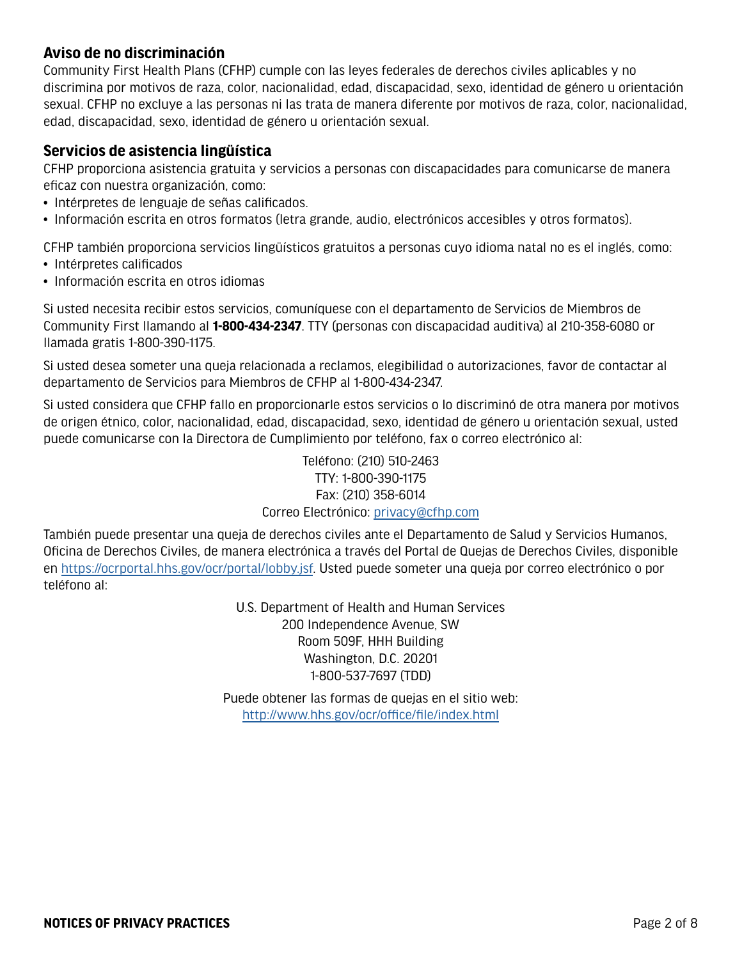## **Aviso de no discriminación**

Community First Health Plans (CFHP) cumple con las leyes federales de derechos civiles aplicables y no discrimina por motivos de raza, color, nacionalidad, edad, discapacidad, sexo, identidad de género u orientación sexual. CFHP no excluye a las personas ni las trata de manera diferente por motivos de raza, color, nacionalidad, edad, discapacidad, sexo, identidad de género u orientación sexual.

## **Servicios de asistencia lingüística**

CFHP proporciona asistencia gratuita y servicios a personas con discapacidades para comunicarse de manera eficaz con nuestra organización, como:

- Intérpretes de lenguaje de señas calificados.
- Información escrita en otros formatos (letra grande, audio, electrónicos accesibles y otros formatos).

CFHP también proporciona servicios lingüísticos gratuitos a personas cuyo idioma natal no es el inglés, como:

- Intérpretes calificados
- Información escrita en otros idiomas

Si usted necesita recibir estos servicios, comuníquese con el departamento de Servicios de Miembros de Community First llamando al **1-800-434-2347**. TTY (personas con discapacidad auditiva) al 210-358-6080 or llamada gratis 1-800-390-1175.

Si usted desea someter una queja relacionada a reclamos, elegibilidad o autorizaciones, favor de contactar al departamento de Servicios para Miembros de CFHP al 1-800-434-2347.

Si usted considera que CFHP fallo en proporcionarle estos servicios o lo discriminó de otra manera por motivos de origen étnico, color, nacionalidad, edad, discapacidad, sexo, identidad de género u orientación sexual, usted puede comunicarse con la Directora de Cumplimiento por teléfono, fax o correo electrónico al:

> Teléfono: (210) 510-2463 TTY: 1-800-390-1175 Fax: (210) 358-6014 Correo Electrónico: [privacy@cfhp.com](mailto:privacy%40cfhp.com?subject=)

También puede presentar una queja de derechos civiles ante el Departamento de Salud y Servicios Humanos, Oficina de Derechos Civiles, de manera electrónica a través del Portal de Quejas de Derechos Civiles, disponible en https://ocrportal.hhs.gov/ocr/portal/lobby.jsf. Usted puede someter una queja por correo electrónico o por teléfono al:

> U.S. Department of Health and Human Services 200 Independence Avenue, SW Room 509F, HHH Building Washington, D.C. 20201 1-800-537-7697 (TDD)

Puede obtener las formas de quejas en el sitio web: http://www.hhs.gov/ocr/office/file/index.html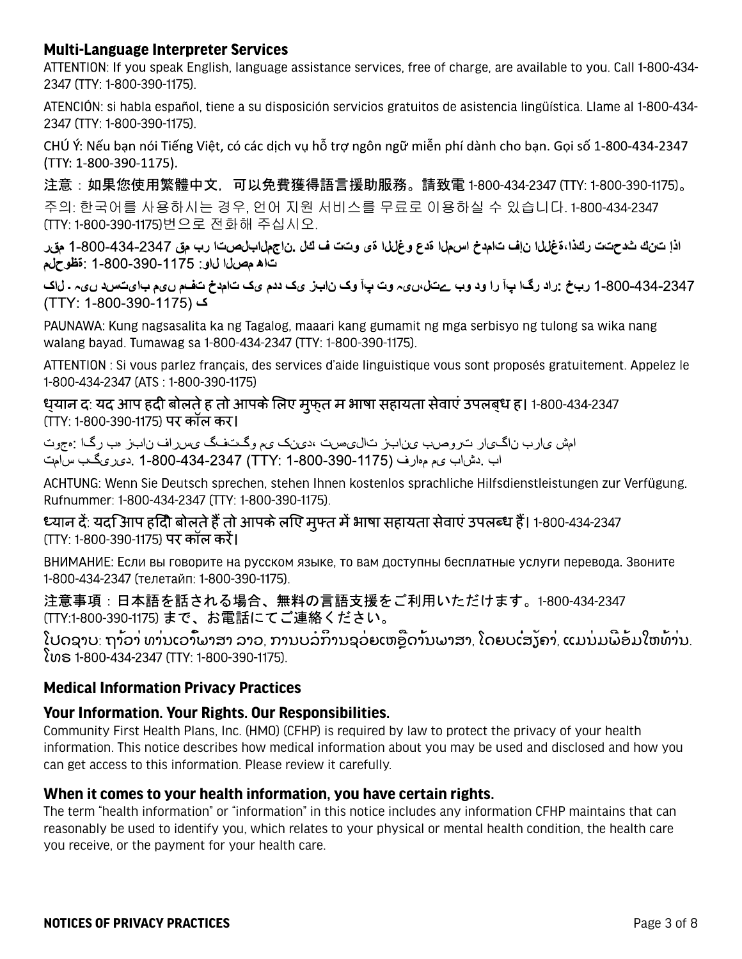## **Multi-Language Interpreter Services**

ATTENTION: If you speak English, language assistance services, free of charge, are available to you. Call 1-800-434-2347 (TTY: 1-800-390-1175).

ATENCIÓN: si habla español, tiene a su disposición servicios gratuitos de asistencia lingüística. Llame al 1-800-434-2347 (TTY: 1-800-390-1175).

CHÚ Ý: Nếu bạn nói Tiếng Việt, có các dịch vụ hỗ trợ ngôn ngữ miễn phí dành cho bạn. Gọi số 1-800-434-2347 (TTY: 1-800-390-1175).

注意:如果您使用繁體中文,可以免費獲得語言援助服務。請致電 1-800-434-2347 (TTY: 1-800-390-1175)。 주의: 한국어를 사용하시는 경우, 언어 지원 서비스를 무료로 이용하실 수 있습니다. 1-800-434-2347 (TTY: 1-800-390-1175)번으로 전화해 주십시오.

اذإ نتنك شدحتت ركذا،ةغللاا نإف ناامدخ اس مل اقدع وغللا ةي ونت ف كل فن اجمل ابلصت ارب مق 2347-300-434-1-600 مقد ت1ه مص ل لاو: 1175-390-800-1 :قطوح لم

434-2347 -600 ربخ :راد رگ| پآ را ود وب ےتل،ںیہ وت پآ وک نابز یک ددم یک تامدخ تفم ںیم بایتسد ںیہ ۔ لاک ک (1175-390-390) FTY: 1-800

PAUNAWA: Kung nagsasalita ka ng Tagalog, maaari kang gumamit ng mga serbisyo ng tulong sa wika nang walang bayad. Tumawag sa 1-800-434-2347 (TTY: 1-800-390-1175).

ATTENTION : Si vous parlez français, des services d'aide linguistique vous sont proposés gratuitement. Appelez le 1-800-434-2347 (ATS: 1-800-390-1175)

ध्यान द: यद आप हदी बोलते ह तो आपके लिए मुफ्त म भाषा सहायता सेवाएं उपलब्ध ह। 1-800-434-2347 (TTY: 1-800-390-1175) पर कॉल कर।

امش یار ب ناگیار تر وصب ینابز تالی،ست ،دینک یم وگتفگ یسر اف نابز مب رگیا :هجوت اب .دشاب یم م ارف (1175-390-390-117) 434-2347-434-760. دیریگب سامت

ACHTUNG: Wenn Sie Deutsch sprechen, stehen Ihnen kostenlos sprachliche Hilfsdienstleistungen zur Verfügung. Rufnummer: 1-800-434-2347 (TTY: 1-800-390-1175).

ध्यान दें: यद िआप हदिौ बोलते हैं तो आपके लएि मुफ्त में भाषा सहायता सेवाएं उपलब्ध हैं। 1-800-434-2347 (TTY: 1-800-390-1175) पर कॉल करें।

ВНИМАНИЕ: Если вы говорите на русском языке, то вам доступны бесплатные услуги перевода. Звоните 1-800-434-2347 (телетайп: 1-800-390-1175).

注意事項:日本語を話される場合、無料の言語支援をご利用いただけます。1-800-434-2347 (TTY:1-800-390-1175) まで、お電話にてご連絡ください。

ໂປດຊາບ: ຖາ້ວາ່ ທາ່ນເວາ້ົພາສາ ລາວ, ການບລໍກິານຊວ່ຍເຫອືດາ້ນພາສາ, ໂດຍບເສັງຄາ, ແມນ່ມພີອ້ມໃຫທ້ານ. ໂທຣ 1-800-434-2347 (TTY: 1-800-390-1175).

## **Medical Information Privacy Practices**

## **Your Information. Your Rights. Our Responsibilities.**

Community First Health Plans, Inc. (HMO) (CFHP) is required by law to protect the privacy of your health information. This notice describes how medical information about you may be used and disclosed and how you can get access to this information. Please review it carefully.

## **When it comes to your health information, you have certain rights.**

The term "health information" or "information" in this notice includes any information CFHP maintains that can reasonably be used to identify you, which relates to your physical or mental health condition, the health care you receive, or the payment for your health care.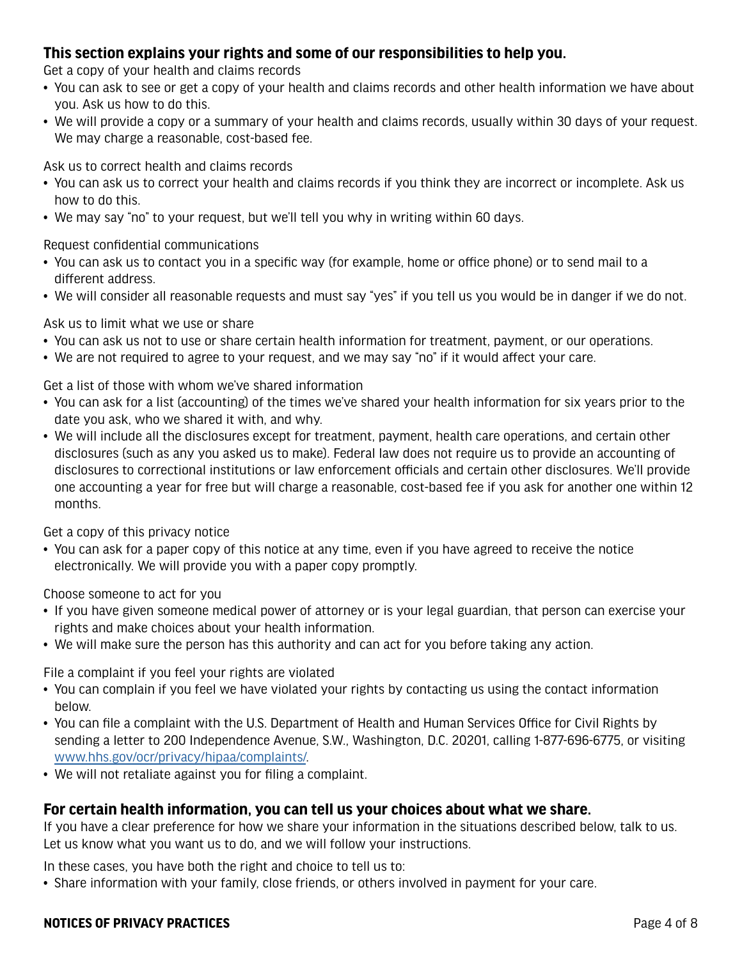## **This section explains your rights and some of our responsibilities to help you.**

Get a copy of your health and claims records

- You can ask to see or get a copy of your health and claims records and other health information we have about you. Ask us how to do this.
- We will provide a copy or a summary of your health and claims records, usually within 30 days of your request. We may charge a reasonable, cost-based fee.

Ask us to correct health and claims records

- You can ask us to correct your health and claims records if you think they are incorrect or incomplete. Ask us how to do this.
- We may say "no" to your request, but we'll tell you why in writing within 60 days.

Request confidential communications

- You can ask us to contact you in a specific way (for example, home or office phone) or to send mail to a different address.
- We will consider all reasonable requests and must say "yes" if you tell us you would be in danger if we do not.

Ask us to limit what we use or share

- You can ask us not to use or share certain health information for treatment, payment, or our operations.
- We are not required to agree to your request, and we may say "no" if it would affect your care.

Get a list of those with whom we've shared information

- You can ask for a list (accounting) of the times we've shared your health information for six years prior to the date you ask, who we shared it with, and why.
- We will include all the disclosures except for treatment, payment, health care operations, and certain other disclosures (such as any you asked us to make). Federal law does not require us to provide an accounting of disclosures to correctional institutions or law enforcement officials and certain other disclosures. We'll provide one accounting a year for free but will charge a reasonable, cost-based fee if you ask for another one within 12 months.

Get a copy of this privacy notice

• You can ask for a paper copy of this notice at any time, even if you have agreed to receive the notice electronically. We will provide you with a paper copy promptly.

Choose someone to act for you

- If you have given someone medical power of attorney or is your legal guardian, that person can exercise your rights and make choices about your health information.
- We will make sure the person has this authority and can act for you before taking any action.

File a complaint if you feel your rights are violated

- You can complain if you feel we have violated your rights by contacting us using the contact information below.
- You can file a complaint with the U.S. Department of Health and Human Services Office for Civil Rights by sending a letter to 200 Independence Avenue, S.W., Washington, D.C. 20201, calling 1-877-696-6775, or visiting www.hhs.gov/ocr/privacy/hipaa/complaints/.
- We will not retaliate against you for filing a complaint.

## **For certain health information, you can tell us your choices about what we share.**

If you have a clear preference for how we share your information in the situations described below, talk to us. Let us know what you want us to do, and we will follow your instructions.

In these cases, you have both the right and choice to tell us to:

• Share information with your family, close friends, or others involved in payment for your care.

#### **NOTICES OF PRIVACY PRACTICES Primering and a set of 8 and 20 and 20 and 20 and 20 and 20 and 20 and 20 and 20 and 20 and 20 and 20 and 20 and 20 and 20 and 20 and 20 and 20 and 20 and 20 and 20 and 20 and 20 and 20 and**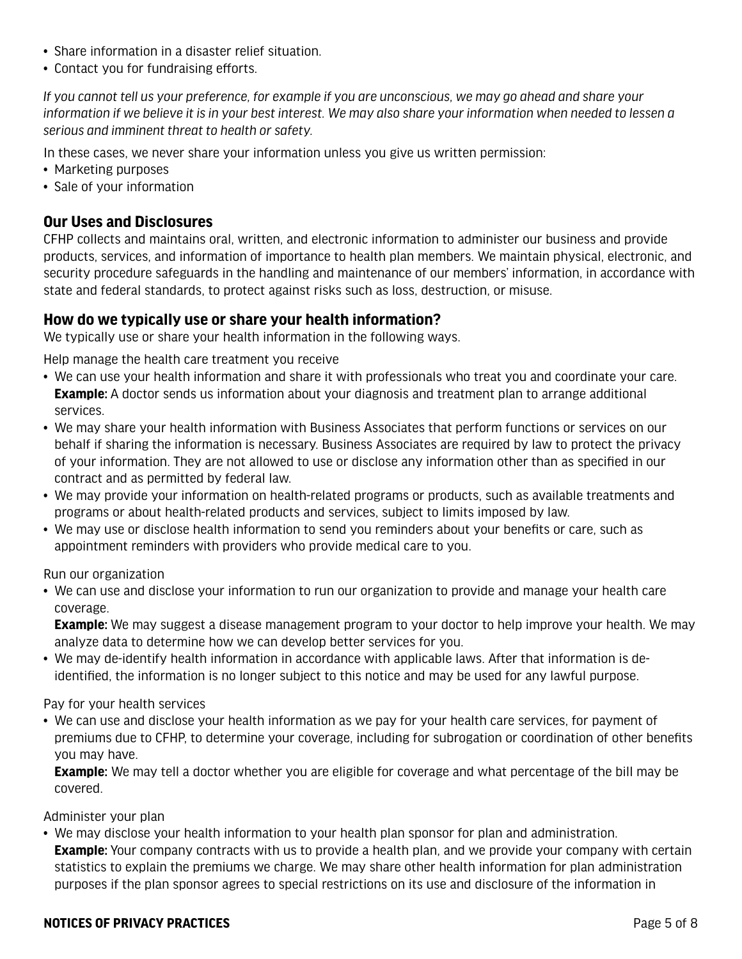- Share information in a disaster relief situation.
- Contact you for fundraising efforts.

*If you cannot tell us your preference, for example if you are unconscious, we may go ahead and share your*  information if we believe it is in your best interest. We may also share your information when needed to lessen a *serious and imminent threat to health or safety.*

In these cases, we never share your information unless you give us written permission:

- Marketing purposes
- Sale of your information

### **Our Uses and Disclosures**

CFHP collects and maintains oral, written, and electronic information to administer our business and provide products, services, and information of importance to health plan members. We maintain physical, electronic, and security procedure safeguards in the handling and maintenance of our members' information, in accordance with state and federal standards, to protect against risks such as loss, destruction, or misuse.

#### **How do we typically use or share your health information?**

We typically use or share your health information in the following ways.

Help manage the health care treatment you receive

- We can use your health information and share it with professionals who treat you and coordinate your care. **Example:** A doctor sends us information about your diagnosis and treatment plan to arrange additional services.
- We may share your health information with Business Associates that perform functions or services on our behalf if sharing the information is necessary. Business Associates are required by law to protect the privacy of your information. They are not allowed to use or disclose any information other than as specified in our contract and as permitted by federal law.
- We may provide your information on health-related programs or products, such as available treatments and programs or about health-related products and services, subject to limits imposed by law.
- We may use or disclose health information to send you reminders about your benefits or care, such as appointment reminders with providers who provide medical care to you.

Run our organization

• We can use and disclose your information to run our organization to provide and manage your health care coverage.

**Example:** We may suggest a disease management program to your doctor to help improve your health. We may analyze data to determine how we can develop better services for you.

• We may de-identify health information in accordance with applicable laws. After that information is deidentified, the information is no longer subject to this notice and may be used for any lawful purpose.

Pay for your health services

• We can use and disclose your health information as we pay for your health care services, for payment of premiums due to CFHP, to determine your coverage, including for subrogation or coordination of other benefits you may have.

**Example:** We may tell a doctor whether you are eligible for coverage and what percentage of the bill may be covered.

Administer your plan

• We may disclose your health information to your health plan sponsor for plan and administration. **Example:** Your company contracts with us to provide a health plan, and we provide your company with certain statistics to explain the premiums we charge. We may share other health information for plan administration purposes if the plan sponsor agrees to special restrictions on its use and disclosure of the information in

#### **NOTICES OF PRIVACY PRACTICES Primering and the extent of a set of 8**  $\overline{P}$  and  $\overline{P}$  and  $\overline{P}$  and  $\overline{P}$  and  $\overline{P}$  and  $\overline{P}$  and  $\overline{P}$  and  $\overline{P}$  and  $\overline{P}$  and  $\overline{P}$  and  $\overline{P}$  and  $\overline{P}$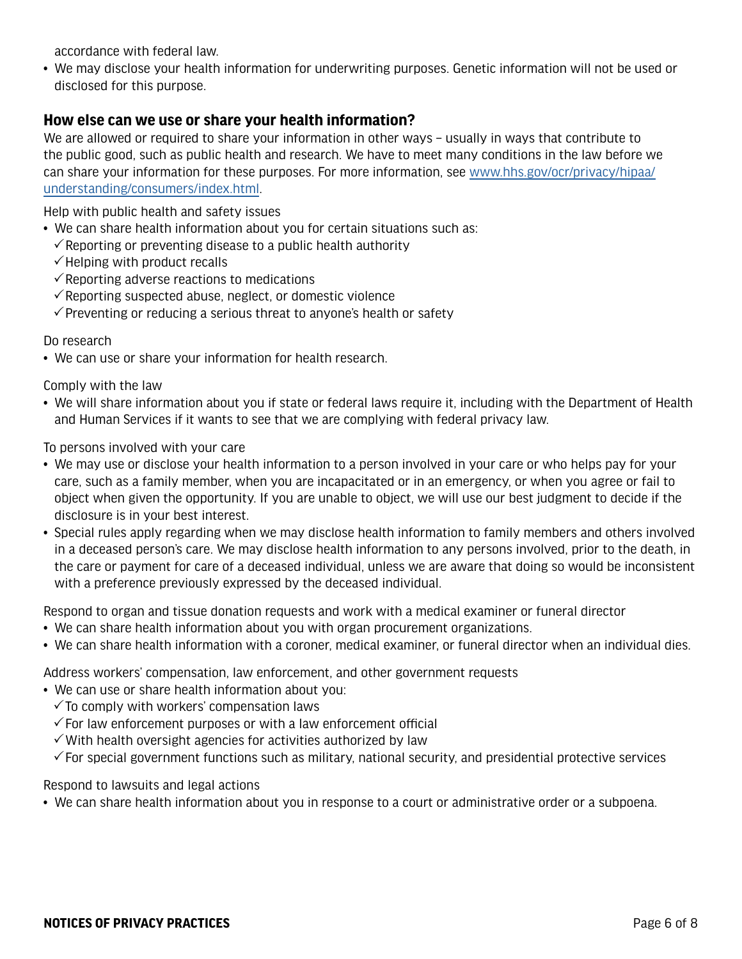accordance with federal law.

• We may disclose your health information for underwriting purposes. Genetic information will not be used or disclosed for this purpose.

## **How else can we use or share your health information?**

We are allowed or required to share your information in other ways – usually in ways that contribute to the public good, such as public health and research. We have to meet many conditions in the law before we can share your information for these purposes. For more information, see www.hhs.gov/ocr/privacy/hipaa/ understanding/consumers/index.html.

Help with public health and safety issues

- We can share health information about you for certain situations such as:
	- $\checkmark$  Reporting or preventing disease to a public health authority
	- $\checkmark$  Helping with product recalls
	- $\checkmark$  Reporting adverse reactions to medications
	- $\checkmark$  Reporting suspected abuse, neglect, or domestic violence
	- $\checkmark$  Preventing or reducing a serious threat to anyone's health or safety

Do research

• We can use or share your information for health research.

Comply with the law

• We will share information about you if state or federal laws require it, including with the Department of Health and Human Services if it wants to see that we are complying with federal privacy law.

To persons involved with your care

- We may use or disclose your health information to a person involved in your care or who helps pay for your care, such as a family member, when you are incapacitated or in an emergency, or when you agree or fail to object when given the opportunity. If you are unable to object, we will use our best judgment to decide if the disclosure is in your best interest.
- Special rules apply regarding when we may disclose health information to family members and others involved in a deceased person's care. We may disclose health information to any persons involved, prior to the death, in the care or payment for care of a deceased individual, unless we are aware that doing so would be inconsistent with a preference previously expressed by the deceased individual.

Respond to organ and tissue donation requests and work with a medical examiner or funeral director

- We can share health information about you with organ procurement organizations.
- We can share health information with a coroner, medical examiner, or funeral director when an individual dies.

Address workers' compensation, law enforcement, and other government requests

- We can use or share health information about you:
	- $\checkmark$  To comply with workers' compensation laws
	- $\checkmark$  For law enforcement purposes or with a law enforcement official
	- $\checkmark$  With health oversight agencies for activities authorized by law
	- $\checkmark$  For special government functions such as military, national security, and presidential protective services

Respond to lawsuits and legal actions

• We can share health information about you in response to a court or administrative order or a subpoena.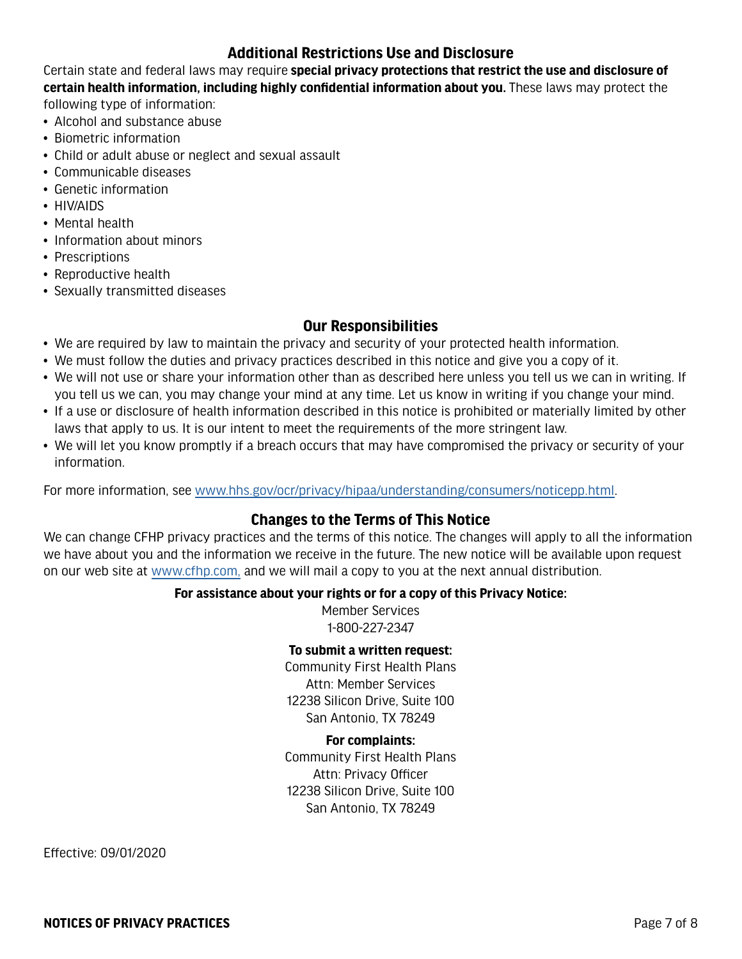## **Additional Restrictions Use and Disclosure**

Certain state and federal laws may require **special privacy protections that restrict the use and disclosure of certain health information, including highly confidential information about you.** These laws may protect the following type of information:

- Alcohol and substance abuse
- Biometric information
- Child or adult abuse or neglect and sexual assault
- Communicable diseases
- Genetic information
- HIV/AIDS
- Mental health
- Information about minors
- Prescriptions
- Reproductive health
- Sexually transmitted diseases

## **Our Responsibilities**

- We are required by law to maintain the privacy and security of your protected health information.
- We must follow the duties and privacy practices described in this notice and give you a copy of it.
- We will not use or share your information other than as described here unless you tell us we can in writing. If you tell us we can, you may change your mind at any time. Let us know in writing if you change your mind.
- If a use or disclosure of health information described in this notice is prohibited or materially limited by other laws that apply to us. It is our intent to meet the requirements of the more stringent law.
- We will let you know promptly if a breach occurs that may have compromised the privacy or security of your information.

For more information, see www.hhs.gov/ocr/privacy/hipaa/understanding/consumers/noticepp.html.

## **Changes to the Terms of This Notice**

We can change CFHP privacy practices and the terms of this notice. The changes will apply to all the information we have about you and the information we receive in the future. The new notice will be available upon request on our web site at www.cfhp.com, and we will mail a copy to you at the next annual distribution.

#### **For assistance about your rights or for a copy of this Privacy Notice:**

Member Services 1-800-227-2347

#### **To submit a written request:**

Community First Health Plans Attn: Member Services 12238 Silicon Drive, Suite 100 San Antonio, TX 78249

#### **For complaints:**

Community First Health Plans Attn: Privacy Officer 12238 Silicon Drive, Suite 100 San Antonio, TX 78249

Effective: 09/01/2020